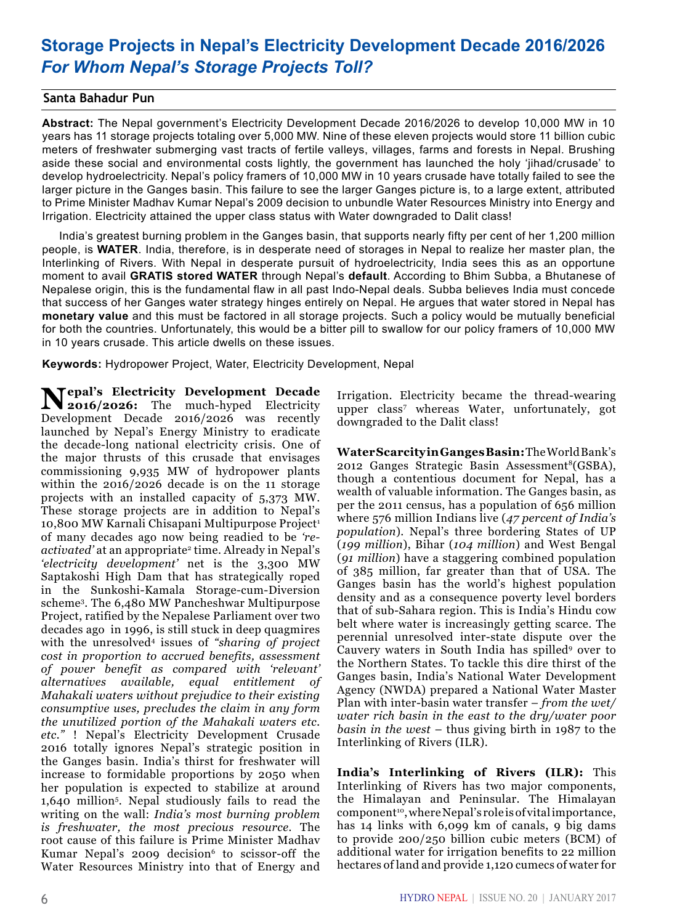## **Storage Projects in Nepal's Electricity Development Decade 2016/2026** *For Whom Nepal's Storage Projects Toll?*

## **Santa Bahadur Pun**

**Abstract:** The Nepal government's Electricity Development Decade 2016/2026 to develop 10,000 MW in 10 years has 11 storage projects totaling over 5,000 MW. Nine of these eleven projects would store 11 billion cubic meters of freshwater submerging vast tracts of fertile valleys, villages, farms and forests in Nepal. Brushing aside these social and environmental costs lightly, the government has launched the holy 'jihad/crusade' to develop hydroelectricity. Nepal's policy framers of 10,000 MW in 10 years crusade have totally failed to see the larger picture in the Ganges basin. This failure to see the larger Ganges picture is, to a large extent, attributed to Prime Minister Madhav Kumar Nepal's 2009 decision to unbundle Water Resources Ministry into Energy and Irrigation. Electricity attained the upper class status with Water downgraded to Dalit class!

India's greatest burning problem in the Ganges basin, that supports nearly fifty per cent of her 1,200 million people, is **WATER**. India, therefore, is in desperate need of storages in Nepal to realize her master plan, the Interlinking of Rivers. With Nepal in desperate pursuit of hydroelectricity, India sees this as an opportune moment to avail **GRATIS stored WATER** through Nepal's **default**. According to Bhim Subba, a Bhutanese of Nepalese origin, this is the fundamental flaw in all past Indo-Nepal deals. Subba believes India must concede that success of her Ganges water strategy hinges entirely on Nepal. He argues that water stored in Nepal has **monetary value** and this must be factored in all storage projects. Such a policy would be mutually beneficial for both the countries. Unfortunately, this would be a bitter pill to swallow for our policy framers of 10,000 MW in 10 years crusade. This article dwells on these issues.

**Keywords:** Hydropower Project, Water, Electricity Development, Nepal

**Nepal's Electricity Development Decade 2016/2026:** The much-hyped Electricity Development Decade 2016/2026 was recently launched by Nepal's Energy Ministry to eradicate the decade-long national electricity crisis. One of the major thrusts of this crusade that envisages commissioning 9,935 MW of hydropower plants within the 2016/2026 decade is on the 11 storage projects with an installed capacity of 5,373 MW. These storage projects are in addition to Nepal's 10,800 MW Karnali Chisapani Multipurpose Project<sup>1</sup> of many decades ago now being readied to be *'reactivated'* at an appropriate<sup>2</sup> time. Already in Nepal's *'electricity development'* net is the 3,300 MW Saptakoshi High Dam that has strategically roped in the Sunkoshi-Kamala Storage-cum-Diversion scheme3. The 6,480 MW Pancheshwar Multipurpose Project, ratified by the Nepalese Parliament over two decades ago in 1996, is still stuck in deep quagmires with the unresolved4 issues of *"sharing of project cost in proportion to accrued benefits, assessment of power benefit as compared with 'relevant' alternatives available, equal entitlement of Mahakali waters without prejudice to their existing consumptive uses, precludes the claim in any form the unutilized portion of the Mahakali waters etc. etc."* ! Nepal's Electricity Development Crusade 2016 totally ignores Nepal's strategic position in the Ganges basin. India's thirst for freshwater will increase to formidable proportions by 2050 when her population is expected to stabilize at around 1,640 million5 . Nepal studiously fails to read the writing on the wall: *India's most burning problem is freshwater, the most precious resource.* The root cause of this failure is Prime Minister Madhav Kumar Nepal's  $2009$  decision<sup>6</sup> to scissor-off the Water Resources Ministry into that of Energy and

Irrigation. Electricity became the thread-wearing upper class7 whereas Water, unfortunately, got downgraded to the Dalit class!

**Water Scarcity in Ganges Basin:** The World Bank's 2012 Ganges Strategic Basin Assessment<sup>8</sup>(GSBA), though a contentious document for Nepal, has a wealth of valuable information. The Ganges basin, as per the 2011 census, has a population of 656 million where 576 million Indians live (*47 percent of India's population*). Nepal's three bordering States of UP (*199 million*), Bihar (*104 million*) and West Bengal (*91 million*) have a staggering combined population of 385 million, far greater than that of USA. The Ganges basin has the world's highest population density and as a consequence poverty level borders that of sub-Sahara region. This is India's Hindu cow belt where water is increasingly getting scarce. The perennial unresolved inter-state dispute over the Cauvery waters in South India has spilled<sup>9</sup> over to the Northern States. To tackle this dire thirst of the Ganges basin, India's National Water Development Agency (NWDA) prepared a National Water Master Plan with inter-basin water transfer – *from the wet/ water rich basin in the east to the dry/water poor basin in the west* – thus giving birth in 1987 to the Interlinking of Rivers (ILR).

**India's Interlinking of Rivers (ILR):** This Interlinking of Rivers has two major components, the Himalayan and Peninsular. The Himalayan component<sup>10</sup>, where Nepal's role is of vital importance, has 14 links with 6,099 km of canals, 9 big dams to provide 200/250 billion cubic meters (BCM) of additional water for irrigation benefits to 22 million hectares of land and provide 1,120 cumecs of water for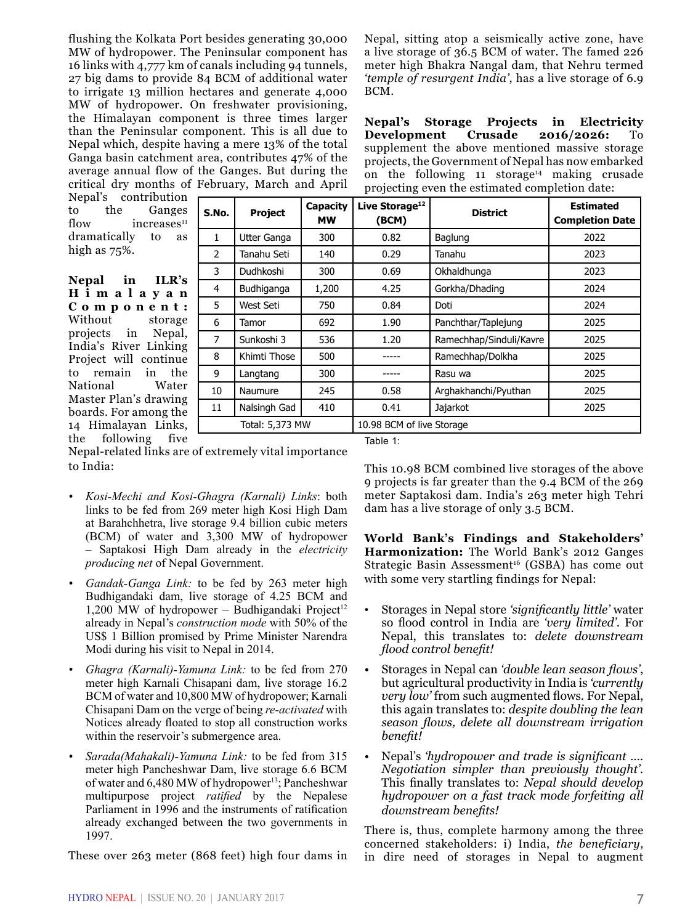flushing the Kolkata Port besides generating 30,000 MW of hydropower. The Peninsular component has 16 links with 4,777 km of canals including 94 tunnels, 27 big dams to provide 84 BCM of additional water to irrigate 13 million hectares and generate 4,000 MW of hydropower. On freshwater provisioning, the Himalayan component is three times larger than the Peninsular component. This is all due to Nepal which, despite having a mere 13% of the total Ganga basin catchment area, contributes 47% of the average annual flow of the Ganges. But during the critical dry months of February, March and April Nepal, sitting atop a seismically active zone, have a live storage of 36.5 BCM of water. The famed 226 meter high Bhakra Nangal dam, that Nehru termed *'temple of resurgent India'*, has a live storage of 6.9 BCM.

**Nepal's Storage Projects in Electricity Development Crusade 2016/2026:** To supplement the above mentioned massive storage projects, the Government of Nepal has now embarked on the following  $11$  storage<sup>14</sup> making crusade projecting even the estimated completion date:

Nepal's contribution<br>to the Ganges to the Ganges  $f$ low increases<sup>11</sup>  $increases<sup>11</sup>$ dramatically to as high as 75%.

**Nepal in ILR's H i m a l a y a n Component:** Without storage projects in Nepal, India's River Linking Project will continue to remain in the National Water Master Plan's drawing boards. For among the 14 Himalayan Links, the following five

|                 |                    | projecting even the commuted completion dute. |                                     |                         |                                            |
|-----------------|--------------------|-----------------------------------------------|-------------------------------------|-------------------------|--------------------------------------------|
| S.No.           | <b>Project</b>     | Capacity<br><b>MW</b>                         | Live Storage <sup>12</sup><br>(BCM) | <b>District</b>         | <b>Estimated</b><br><b>Completion Date</b> |
| $\mathbf{1}$    | <b>Utter Ganga</b> | 300                                           | 0.82                                | Baglung                 | 2022                                       |
| 2               | Tanahu Seti        | 140                                           | 0.29                                | Tanahu                  | 2023                                       |
| 3               | Dudhkoshi          | 300                                           | 0.69                                | Okhaldhunga             | 2023                                       |
| 4               | Budhiganga         | 1,200                                         | 4.25                                | Gorkha/Dhading          | 2024                                       |
| 5               | West Seti          | 750                                           | 0.84                                | Doti                    | 2024                                       |
| 6               | Tamor              | 692                                           | 1.90                                | Panchthar/Taplejung     | 2025                                       |
| 7               | Sunkoshi 3         | 536                                           | 1.20                                | Ramechhap/Sinduli/Kavre | 2025                                       |
| 8               | Khimti Those       | 500                                           |                                     | Ramechhap/Dolkha        | 2025                                       |
| 9               | Langtang           | 300                                           |                                     | Rasu wa                 | 2025                                       |
| 10              | Naumure            | 245                                           | 0.58                                | Arghakhanchi/Pyuthan    | 2025                                       |
| 11              | Nalsingh Gad       | 410                                           | 0.41                                | Jajarkot                | 2025                                       |
| Total: 5,373 MW |                    |                                               | 10.98 BCM of live Storage           |                         |                                            |

Nepal-related links are of extremely vital importance to India:

- *• Kosi-Mechi and Kosi-Ghagra (Karnali) Links*: both links to be fed from 269 meter high Kosi High Dam at Barahchhetra, live storage 9.4 billion cubic meters (BCM) of water and 3,300 MW of hydropower – Saptakosi High Dam already in the *electricity producing net* of Nepal Government.
- *• Gandak-Ganga Link:* to be fed by 263 meter high Budhigandaki dam, live storage of 4.25 BCM and 1,200 MW of hydropower – Budhigandaki Project<sup>12</sup> already in Nepal's *construction mode* with 50% of the US\$ 1 Billion promised by Prime Minister Narendra Modi during his visit to Nepal in 2014.
- *• Ghagra (Karnali)-Yamuna Link:* to be fed from 270 meter high Karnali Chisapani dam, live storage 16.2 BCM of water and 10,800 MW of hydropower; Karnali Chisapani Dam on the verge of being *re-activated* with Notices already floated to stop all construction works within the reservoir's submergence area.
- *• Sarada(Mahakali)-Yamuna Link:* to be fed from 315 meter high Pancheshwar Dam, live storage 6.6 BCM of water and 6,480 MW of hydropower<sup>13</sup>; Pancheshwar multipurpose project *ratified* by the Nepalese Parliament in 1996 and the instruments of ratification already exchanged between the two governments in 1997.

These over 263 meter (868 feet) high four dams in

Table 1:

This 10.98 BCM combined live storages of the above 9 projects is far greater than the 9.4 BCM of the 269 meter Saptakosi dam. India's 263 meter high Tehri dam has a live storage of only 3.5 BCM.

**World Bank's Findings and Stakeholders' Harmonization:** The World Bank's 2012 Ganges Strategic Basin Assessment<sup>16</sup> (GSBA) has come out with some very startling findings for Nepal:

- Storages in Nepal store *'significantly little'* water so flood control in India are *'very limited'*. For Nepal, this translates to: *delete downstream flood control benefit!*
- Storages in Nepal can *'double lean season flows'*, but agricultural productivity in India is *'currently very low'* from such augmented flows. For Nepal, this again translates to: *despite doubling the lean season flows, delete all downstream irrigation benefit!*
- Nepal's *'hydropower and trade is significant …. Negotiation simpler than previously thought'.* This finally translates to: *Nepal should develop hydropower on a fast track mode forfeiting all downstream benefits!*

There is, thus, complete harmony among the three concerned stakeholders: i) India, *the beneficiary*, in dire need of storages in Nepal to augment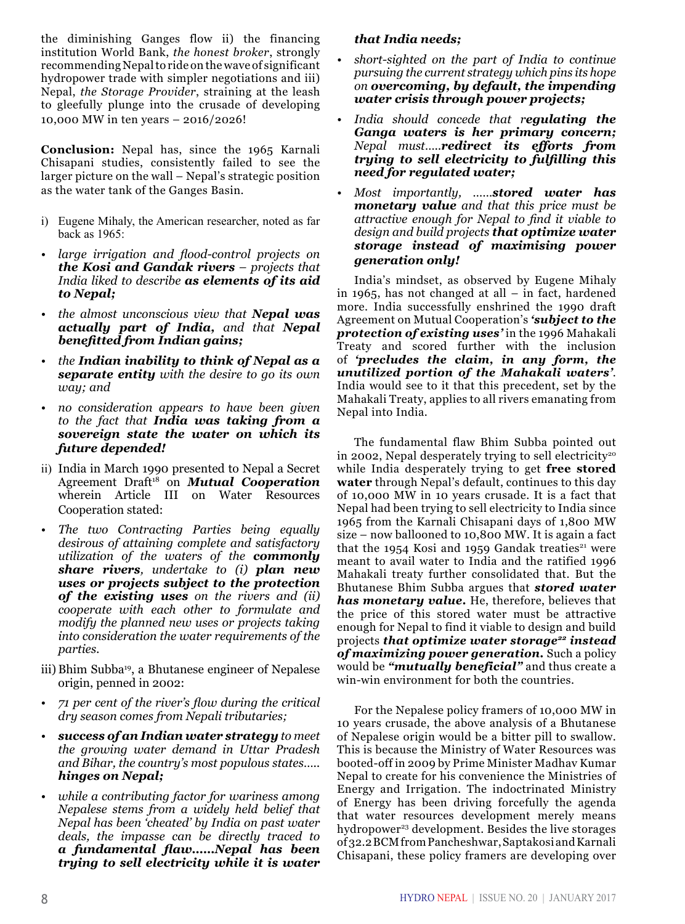the diminishing Ganges flow ii) the financing institution World Bank, *the honest broker*, strongly recommending Nepal to ride on the wave of significant hydropower trade with simpler negotiations and iii) Nepal, *the Storage Provider*, straining at the leash to gleefully plunge into the crusade of developing 10,000 MW in ten years – 2016/2026!

**Conclusion:** Nepal has, since the 1965 Karnali Chisapani studies, consistently failed to see the larger picture on the wall – Nepal's strategic position as the water tank of the Ganges Basin.

- i) Eugene Mihaly, the American researcher, noted as far back as 1965:
- *• large irrigation and flood-control projects on the Kosi and Gandak rivers – projects that India liked to describe as elements of its aid to Nepal;*
- *• the almost unconscious view that Nepal was actually part of India, and that Nepal benefitted from Indian gains;*
- *• the Indian inability to think of Nepal as a separate entity with the desire to go its own way; and*
- *• no consideration appears to have been given to the fact that India was taking from a sovereign state the water on which its future depended!*
- ii) India in March 1990 presented to Nepal a Secret Agreement Draft18 on *Mutual Cooperation* wherein Article III on Water Resources Cooperation stated:
- *• The two Contracting Parties being equally desirous of attaining complete and satisfactory utilization of the waters of the commonly share rivers, undertake to (i) plan new uses or projects subject to the protection of the existing uses on the rivers and (ii) cooperate with each other to formulate and modify the planned new uses or projects taking into consideration the water requirements of the parties.*
- iii) Bhim Subba19, a Bhutanese engineer of Nepalese origin, penned in 2002:
- *71 per cent of the river's flow during the critical dry season comes from Nepali tributaries;*
- *• success of an Indian water strategy to meet the growing water demand in Uttar Pradesh and Bihar, the country's most populous states….. hinges on Nepal;*
- *• while a contributing factor for wariness among Nepalese stems from a widely held belief that Nepal has been 'cheated' by India on past water deals, the impasse can be directly traced to a fundamental flaw……Nepal has been trying to sell electricity while it is water*

## *that India needs;*

- *• short-sighted on the part of India to continue pursuing the current strategy which pins its hope on overcoming, by default, the impending water crisis through power projects;*
- *• India should concede that regulating the Ganga waters is her primary concern; Nepal must…..redirect its efforts from trying to sell electricity to fulfilling this need for regulated water;*
- *• Most importantly, ……stored water has monetary value and that this price must be attractive enough for Nepal to find it viable to design and build projects that optimize water storage instead of maximising power generation only!*

India's mindset, as observed by Eugene Mihaly in 1965, has not changed at all – in fact, hardened more. India successfully enshrined the 1990 draft Agreement on Mutual Cooperation's *'subject to the protection of existing uses'* in the 1996 Mahakali Treaty and scored further with the inclusion of *'precludes the claim, in any form, the unutilized portion of the Mahakali waters'*. India would see to it that this precedent, set by the Mahakali Treaty, applies to all rivers emanating from Nepal into India.

The fundamental flaw Bhim Subba pointed out in 2002, Nepal desperately trying to sell electricity<sup>20</sup> while India desperately trying to get **free stored water** through Nepal's default, continues to this day of 10,000 MW in 10 years crusade. It is a fact that Nepal had been trying to sell electricity to India since 1965 from the Karnali Chisapani days of 1,800 MW size – now ballooned to 10,800 MW. It is again a fact that the 1954 Kosi and 1959 Gandak treaties<sup>21</sup> were meant to avail water to India and the ratified 1996 Mahakali treaty further consolidated that. But the Bhutanese Bhim Subba argues that *stored water has monetary value.* He, therefore, believes that the price of this stored water must be attractive enough for Nepal to find it viable to design and build projects *that optimize water storage22 instead of maximizing power generation.* Such a policy would be *"mutually beneficial"* and thus create a win-win environment for both the countries.

For the Nepalese policy framers of 10,000 MW in 10 years crusade, the above analysis of a Bhutanese of Nepalese origin would be a bitter pill to swallow. This is because the Ministry of Water Resources was booted-off in 2009 by Prime Minister Madhav Kumar Nepal to create for his convenience the Ministries of Energy and Irrigation. The indoctrinated Ministry of Energy has been driving forcefully the agenda that water resources development merely means hydropower<sup>23</sup> development. Besides the live storages of 32.2 BCM from Pancheshwar, Saptakosi and Karnali Chisapani, these policy framers are developing over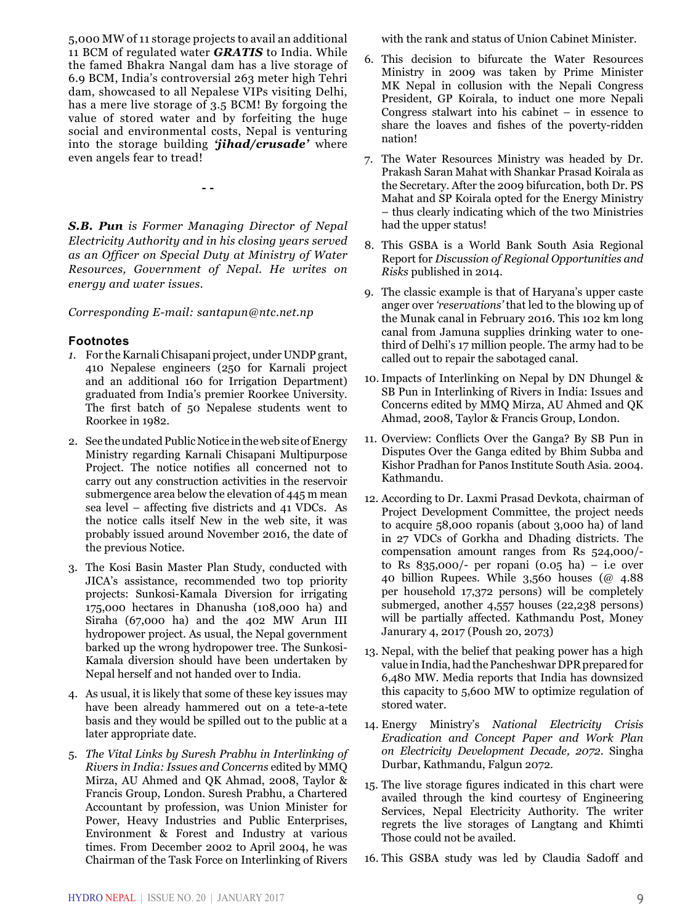5,000 MW of 11 storage projects to avail an additional 11 BCM of regulated water *GRATIS* to India. While the famed Bhakra Nangal dam has a live storage of 6.9 BCM, India's controversial 263 meter high Tehri dam, showcased to all Nepalese VIPs visiting Delhi, has a mere live storage of 3.5 BCM! By forgoing the value of stored water and by forfeiting the huge social and environmental costs, Nepal is venturing into the storage building *'jihad/crusade'* where even angels fear to tread!

*S.B. Pun is Former Managing Director of Nepal Electricity Authority and in his closing years served as an Officer on Special Duty at Ministry of Water Resources, Government of Nepal. He writes on energy and water issues.*

**- -**

*Corresponding E-mail: santapun@ntc.net.np*

## **Footnotes**

- *1.* For the Karnali Chisapani project, under UNDP grant, 410 Nepalese engineers (250 for Karnali project and an additional 160 for Irrigation Department) graduated from India's premier Roorkee University. The first batch of 50 Nepalese students went to Roorkee in 1982.
- 2. See the undated Public Notice in the web site of Energy Ministry regarding Karnali Chisapani Multipurpose Project. The notice notifies all concerned not to carry out any construction activities in the reservoir submergence area below the elevation of 445 m mean sea level – affecting five districts and 41 VDCs. As the notice calls itself New in the web site, it was probably issued around November 2016, the date of the previous Notice.
- 3. The Kosi Basin Master Plan Study, conducted with JICA's assistance, recommended two top priority projects: Sunkosi-Kamala Diversion for irrigating 175,000 hectares in Dhanusha (108,000 ha) and Siraha (67,000 ha) and the 402 MW Arun III hydropower project. As usual, the Nepal government barked up the wrong hydropower tree. The Sunkosi-Kamala diversion should have been undertaken by Nepal herself and not handed over to India.
- 4. As usual, it is likely that some of these key issues may have been already hammered out on a tete-a-tete basis and they would be spilled out to the public at a later appropriate date.
- 5. *The Vital Links by Suresh Prabhu in Interlinking of Rivers in India: Issues and Concerns* edited by MMQ Mirza, AU Ahmed and QK Ahmad, 2008, Taylor & Francis Group, London. Suresh Prabhu, a Chartered Accountant by profession, was Union Minister for Power, Heavy Industries and Public Enterprises, Environment & Forest and Industry at various times. From December 2002 to April 2004, he was Chairman of the Task Force on Interlinking of Rivers

with the rank and status of Union Cabinet Minister.

- 6. This decision to bifurcate the Water Resources Ministry in 2009 was taken by Prime Minister MK Nepal in collusion with the Nepali Congress President, GP Koirala, to induct one more Nepali Congress stalwart into his cabinet  $-$  in essence to share the loaves and fishes of the poverty-ridden nation!
- 7. The Water Resources Ministry was headed by Dr. Prakash Saran Mahat with Shankar Prasad Koirala as the Secretary. After the 2009 bifurcation, both Dr. PS Mahat and SP Koirala opted for the Energy Ministry – thus clearly indicating which of the two Ministries had the upper status!
- 8. This GSBA is a World Bank South Asia Regional Report for *Discussion of Regional Opportunities and Risks* published in 2014.
- 9. The classic example is that of Haryana's upper caste anger over *'reservations'* that led to the blowing up of the Munak canal in February 2016. This 102 km long canal from Jamuna supplies drinking water to onethird of Delhi's 17 million people. The army had to be called out to repair the sabotaged canal.
- 10. Impacts of Interlinking on Nepal by DN Dhungel & SB Pun in Interlinking of Rivers in India: Issues and Concerns edited by MMQ Mirza, AU Ahmed and QK Ahmad, 2008, Taylor & Francis Group, London.
- 11. Overview: Conflicts Over the Ganga? By SB Pun in Disputes Over the Ganga edited by Bhim Subba and Kishor Pradhan for Panos Institute South Asia. 2004. Kathmandu.
- 12. According to Dr. Laxmi Prasad Devkota, chairman of Project Development Committee, the project needs to acquire 58,000 ropanis (about 3,000 ha) of land in 27 VDCs of Gorkha and Dhading districts. The compensation amount ranges from Rs 524,000/ to Rs 835,000/- per ropani (0.05 ha) – i.e over 40 billion Rupees. While 3,560 houses (@ 4.88 per household 17,372 persons) will be completely submerged, another 4,557 houses (22,238 persons) will be partially affected. Kathmandu Post, Money Janurary 4, 2017 (Poush 20, 2073)
- 13. Nepal, with the belief that peaking power has a high value in India, had the Pancheshwar DPR prepared for 6,480 MW. Media reports that India has downsized this capacity to 5,600 MW to optimize regulation of stored water.
- 14. Energy Ministry's *National Electricity Crisis Eradication and Concept Paper and Work Plan on Electricity Development Decade, 2072*. Singha Durbar, Kathmandu, Falgun 2072.
- 15. The live storage figures indicated in this chart were availed through the kind courtesy of Engineering Services, Nepal Electricity Authority. The writer regrets the live storages of Langtang and Khimti Those could not be availed.
- 16. This GSBA study was led by Claudia Sadoff and